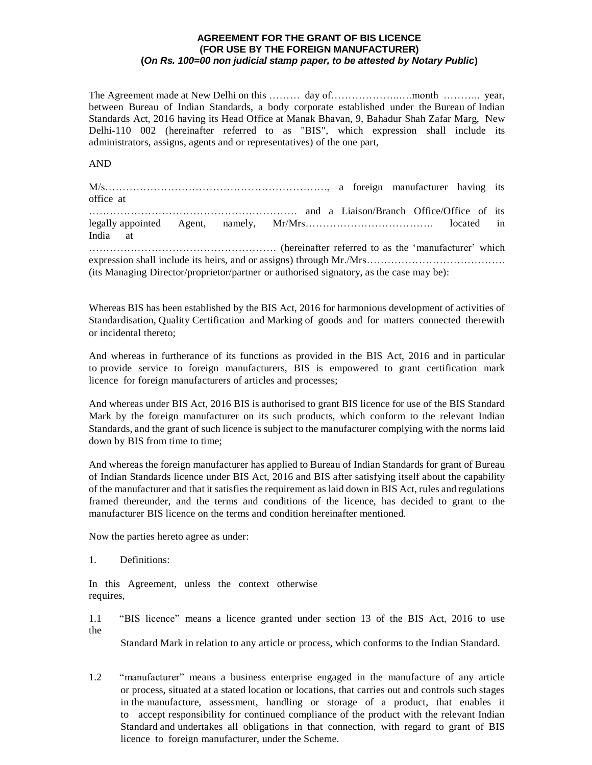## **AGREEMENT FOR THE GRANT OF BIS LICENCE (FOR USE BY THE FOREIGN MANUFACTURER) (***On Rs. 100=00 non judicial stamp paper, to be attested by Notary Public***)**

The Agreement made at New Delhi on this ……….. day of……………………………………………… year, between Bureau of Indian Standards, a body corporate established under the Bureau of Indian Standards Act, 2016 having its Head Office at Manak Bhavan, 9, Bahadur Shah Zafar Marg, New Delhi-110 002 (hereinafter referred to as "BIS", which expression shall include its administrators, assigns, agents and or representatives) of the one part,

AND

M/s………………………………………………………., a foreign manufacturer having its office at …………………………………………………… and a Liaison/Branch Office/Office of its legally appointed Agent, namely, Mr/Mrs………………………………. located in India at ……………………………………………… (hereinafter referred to as the 'manufacturer' which expression shall include its heirs, and or assigns) through Mr./Mrs…………………………………… (its Managing Director/proprietor/partner or authorised signatory, as the case may be):

Whereas BIS has been established by the BIS Act, 2016 for harmonious development of activities of Standardisation, Quality Certification and Marking of goods and for matters connected therewith or incidental thereto;

And whereas in furtherance of its functions as provided in the BIS Act, 2016 and in particular to provide service to foreign manufacturers, BIS is empowered to grant certification mark licence for foreign manufacturers of articles and processes;

And whereas under BIS Act, 2016 BIS is authorised to grant BIS licence for use of the BIS Standard Mark by the foreign manufacturer on its such products, which conform to the relevant Indian Standards, and the grant of such licence is subject to the manufacturer complying with the norms laid down by BIS from time to time;

And whereas the foreign manufacturer has applied to Bureau of Indian Standards for grant of Bureau of Indian Standards licence under BIS Act, 2016 and BIS after satisfying itself about the capability of the manufacturer and that it satisfies the requirement as laid down in BIS Act, rules and regulations framed thereunder, and the terms and conditions of the licence, has decided to grant to the manufacturer BIS licence on the terms and condition hereinafter mentioned.

Now the parties hereto agree as under:

1. Definitions:

In this Agreement, unless the context otherwise requires,

1.1 "BIS licence" means a licence granted under section 13 of the BIS Act, 2016 to use the

Standard Mark in relation to any article or process, which conforms to the Indian Standard.

1.2 "manufacturer" means a business enterprise engaged in the manufacture of any article or process, situated at a stated location or locations, that carries out and controls such stages in the manufacture, assessment, handling or storage of a product, that enables it to accept responsibility for continued compliance of the product with the relevant Indian Standard and undertakes all obligations in that connection, with regard to grant of BIS licence to foreign manufacturer, under the Scheme.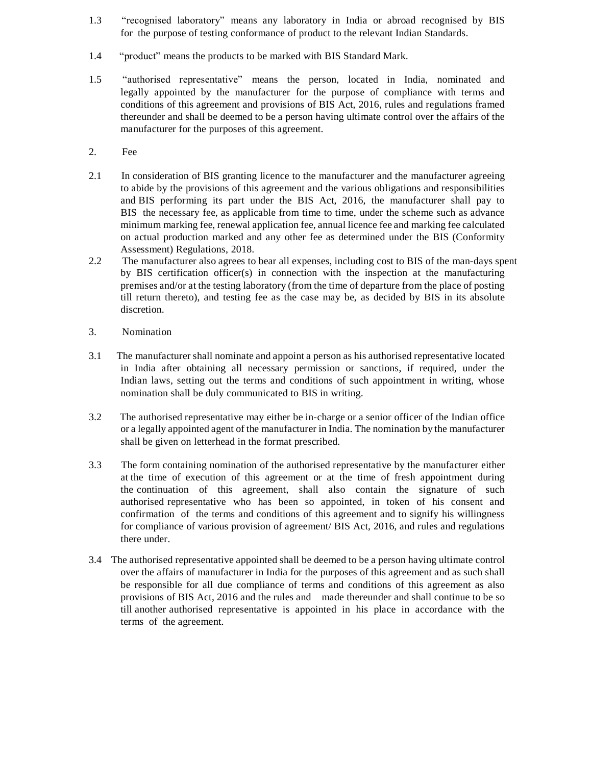- 1.3 "recognised laboratory" means any laboratory in India or abroad recognised by BIS for the purpose of testing conformance of product to the relevant Indian Standards.
- 1.4 "product" means the products to be marked with BIS Standard Mark.
- 1.5 "authorised representative" means the person, located in India, nominated and legally appointed by the manufacturer for the purpose of compliance with terms and conditions of this agreement and provisions of BIS Act, 2016, rules and regulations framed thereunder and shall be deemed to be a person having ultimate control over the affairs of the manufacturer for the purposes of this agreement.
- 2. Fee
- 2.1 In consideration of BIS granting licence to the manufacturer and the manufacturer agreeing to abide by the provisions of this agreement and the various obligations and responsibilities and BIS performing its part under the BIS Act, 2016, the manufacturer shall pay to BIS the necessary fee, as applicable from time to time, under the scheme such as advance minimum marking fee, renewal application fee, annual licence fee and marking fee calculated on actual production marked and any other fee as determined under the BIS (Conformity Assessment) Regulations, 2018.
- 2.2 The manufacturer also agrees to bear all expenses, including cost to BIS of the man-days spent by BIS certification officer(s) in connection with the inspection at the manufacturing premises and/or at the testing laboratory (from the time of departure from the place of posting till return thereto), and testing fee as the case may be, as decided by BIS in its absolute discretion.
- 3. Nomination
- 3.1 The manufacturer shall nominate and appoint a person as his authorised representative located in India after obtaining all necessary permission or sanctions, if required, under the Indian laws, setting out the terms and conditions of such appointment in writing, whose nomination shall be duly communicated to BIS in writing.
- 3.2 The authorised representative may either be in-charge or a senior officer of the Indian office or a legally appointed agent of the manufacturer in India. The nomination by the manufacturer shall be given on letterhead in the format prescribed.
- 3.3 The form containing nomination of the authorised representative by the manufacturer either at the time of execution of this agreement or at the time of fresh appointment during the continuation of this agreement, shall also contain the signature of such authorised representative who has been so appointed, in token of his consent and confirmation of the terms and conditions of this agreement and to signify his willingness for compliance of various provision of agreement/ BIS Act, 2016, and rules and regulations there under.
- 3.4 The authorised representative appointed shall be deemed to be a person having ultimate control over the affairs of manufacturer in India for the purposes of this agreement and as such shall be responsible for all due compliance of terms and conditions of this agreement as also provisions of BIS Act, 2016 and the rules and made thereunder and shall continue to be so till another authorised representative is appointed in his place in accordance with the terms of the agreement.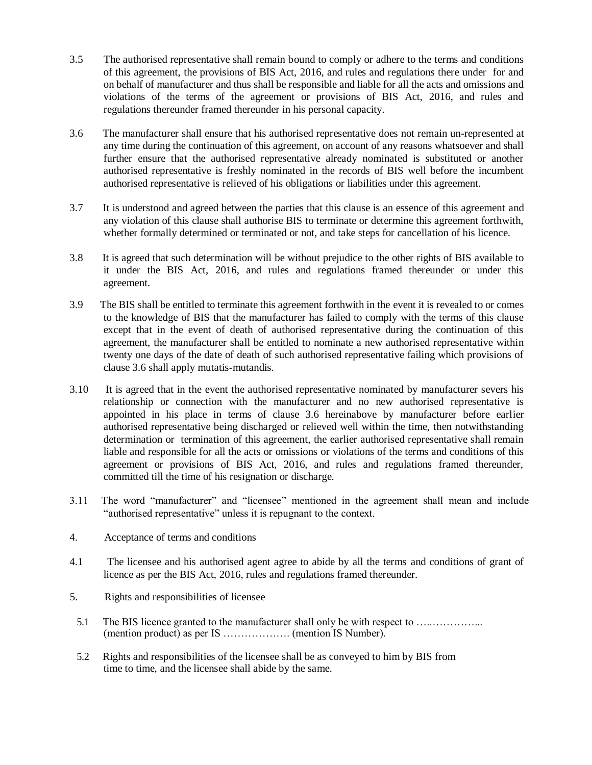- 3.5 The authorised representative shall remain bound to comply or adhere to the terms and conditions of this agreement, the provisions of BIS Act, 2016, and rules and regulations there under for and on behalf of manufacturer and thus shall be responsible and liable for all the acts and omissions and violations of the terms of the agreement or provisions of BIS Act, 2016, and rules and regulations thereunder framed thereunder in his personal capacity.
- 3.6 The manufacturer shall ensure that his authorised representative does not remain un-represented at any time during the continuation of this agreement, on account of any reasons whatsoever and shall further ensure that the authorised representative already nominated is substituted or another authorised representative is freshly nominated in the records of BIS well before the incumbent authorised representative is relieved of his obligations or liabilities under this agreement.
- 3.7 It is understood and agreed between the parties that this clause is an essence of this agreement and any violation of this clause shall authorise BIS to terminate or determine this agreement forthwith, whether formally determined or terminated or not, and take steps for cancellation of his licence.
- 3.8 It is agreed that such determination will be without prejudice to the other rights of BIS available to it under the BIS Act, 2016, and rules and regulations framed thereunder or under this agreement.
- 3.9 The BIS shall be entitled to terminate this agreement forthwith in the event it is revealed to or comes to the knowledge of BIS that the manufacturer has failed to comply with the terms of this clause except that in the event of death of authorised representative during the continuation of this agreement, the manufacturer shall be entitled to nominate a new authorised representative within twenty one days of the date of death of such authorised representative failing which provisions of clause 3.6 shall apply mutatis-mutandis.
- 3.10 It is agreed that in the event the authorised representative nominated by manufacturer severs his relationship or connection with the manufacturer and no new authorised representative is appointed in his place in terms of clause 3.6 hereinabove by manufacturer before earlier authorised representative being discharged or relieved well within the time, then notwithstanding determination or termination of this agreement, the earlier authorised representative shall remain liable and responsible for all the acts or omissions or violations of the terms and conditions of this agreement or provisions of BIS Act, 2016, and rules and regulations framed thereunder, committed till the time of his resignation or discharge.
- 3.11 The word "manufacturer" and "licensee" mentioned in the agreement shall mean and include "authorised representative" unless it is repugnant to the context.
- 4. Acceptance of terms and conditions
- 4.1 The licensee and his authorised agent agree to abide by all the terms and conditions of grant of licence as per the BIS Act, 2016, rules and regulations framed thereunder.
- 5. Rights and responsibilities of licensee
- 5.1 The BIS licence granted to the manufacturer shall only be with respect to …..…………... (mention product) as per IS ………………. (mention IS Number).
- 5.2 Rights and responsibilities of the licensee shall be as conveyed to him by BIS from time to time, and the licensee shall abide by the same.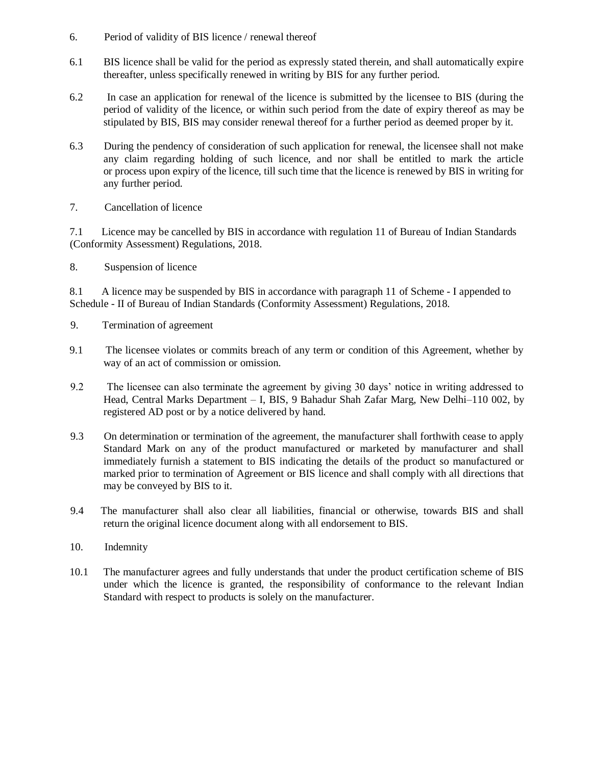- 6. Period of validity of BIS licence / renewal thereof
- 6.1 BIS licence shall be valid for the period as expressly stated therein, and shall automatically expire thereafter, unless specifically renewed in writing by BIS for any further period.
- 6.2 In case an application for renewal of the licence is submitted by the licensee to BIS (during the period of validity of the licence, or within such period from the date of expiry thereof as may be stipulated by BIS, BIS may consider renewal thereof for a further period as deemed proper by it.
- 6.3 During the pendency of consideration of such application for renewal, the licensee shall not make any claim regarding holding of such licence, and nor shall be entitled to mark the article or process upon expiry of the licence, till such time that the licence is renewed by BIS in writing for any further period.
- 7. Cancellation of licence

7.1 Licence may be cancelled by BIS in accordance with regulation 11 of Bureau of Indian Standards (Conformity Assessment) Regulations, 2018.

8. Suspension of licence

8.1 A licence may be suspended by BIS in accordance with paragraph 11 of Scheme - I appended to Schedule - II of Bureau of Indian Standards (Conformity Assessment) Regulations, 2018.

- 9. Termination of agreement
- 9.1 The licensee violates or commits breach of any term or condition of this Agreement, whether by way of an act of commission or omission.
- 9.2 The licensee can also terminate the agreement by giving 30 days' notice in writing addressed to Head, Central Marks Department – I, BIS, 9 Bahadur Shah Zafar Marg, New Delhi–110 002, by registered AD post or by a notice delivered by hand.
- 9.3 On determination or termination of the agreement, the manufacturer shall forthwith cease to apply Standard Mark on any of the product manufactured or marketed by manufacturer and shall immediately furnish a statement to BIS indicating the details of the product so manufactured or marked prior to termination of Agreement or BIS licence and shall comply with all directions that may be conveyed by BIS to it.
- 9.4 The manufacturer shall also clear all liabilities, financial or otherwise, towards BIS and shall return the original licence document along with all endorsement to BIS.
- 10. Indemnity
- 10.1 The manufacturer agrees and fully understands that under the product certification scheme of BIS under which the licence is granted, the responsibility of conformance to the relevant Indian Standard with respect to products is solely on the manufacturer.